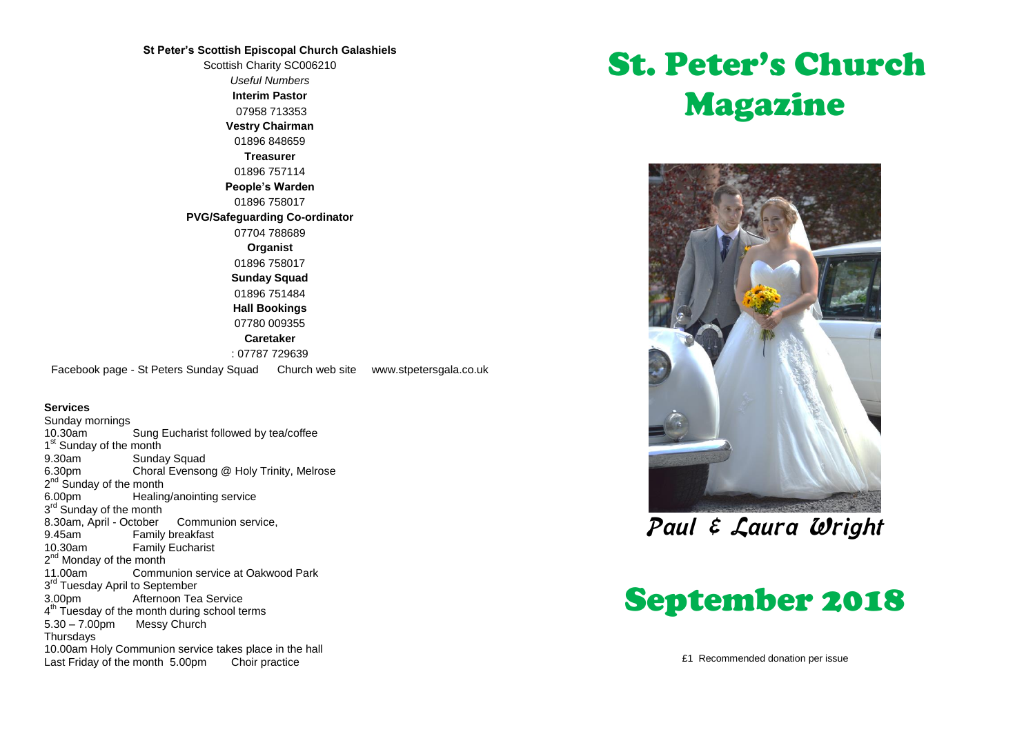#### **St Peter's Scottish Episcopal Church Galashiels**

Scottish Charity SC006210 *Useful Numbers*  **Interim Pastor** 07958 713353 **Vestry Chairman** 01896 848659 **Treasurer** 01896 757114 **People's Warden** 01896 758017 **PVG/Safeguarding Co-ordinator** 07704 788689 **Organist** 01896 758017 **Sunday Squad** 01896 751484 **Hall Bookings** 07780 009355 **Caretaker** : 07787 729639 Facebook page - St Peters Sunday Squad Church web site www.stpetersgala.co.uk

#### **Services**

Sunday mornings<br>10.30am Sung Eucharist followed by tea/coffee 1<sup>st</sup> Sunday of the month 9.30am Sunday Squad 6.30pm Choral Evensong @ Holy Trinity, Melrose 2<sup>nd</sup> Sunday of the month 6.00pm Healing/anointing service 3<sup>rd</sup> Sunday of the month 8.30am, April - October Communion service, 9.45am Family breakfast<br>10.30am Family Fucharist Family Eucharist 2<sup>nd</sup> Monday of the month 11.00am Communion service at Oakwood Park 3<sup>rd</sup> Tuesday April to September 3.00pm Afternoon Tea Service 4<sup>th</sup> Tuesday of the month during school terms 5.30 – 7.00pm Messy Church Thursdays 10.00am Holy Communion service takes place in the hall Last Friday of the month 5.00pm Choir practice

# St. Peter's Church Magazine



Paul & Laura Wright

## September 2018

£1 Recommended donation per issue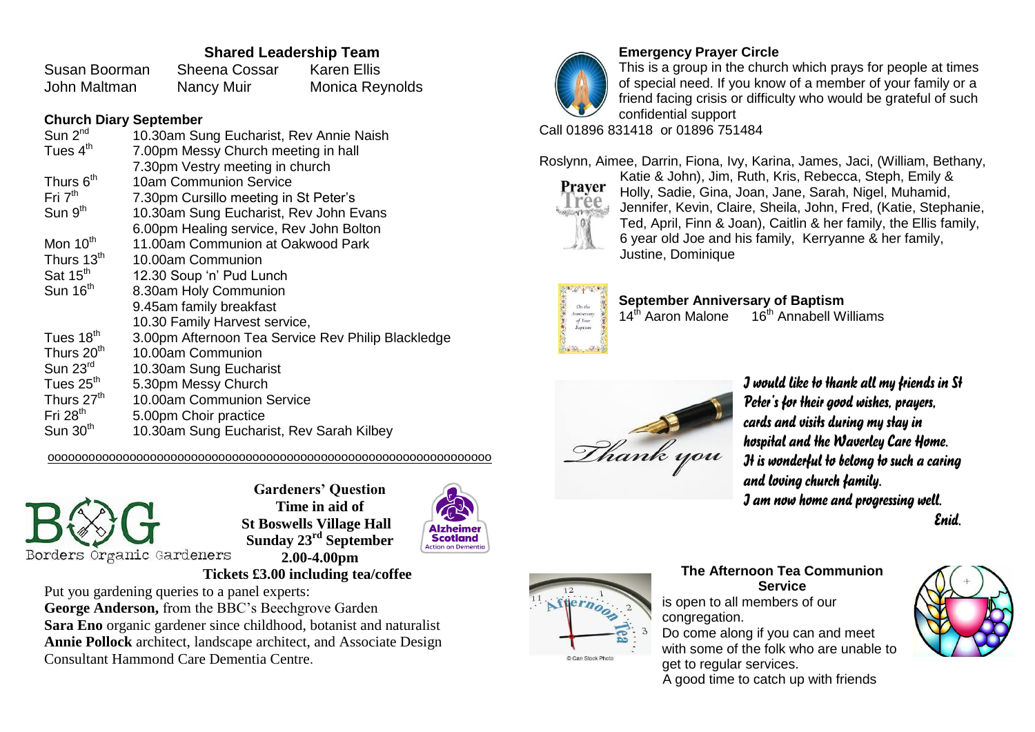#### **Shared Leadership Team**

Susan Boorman Sheena Cossar Karen Ellis John Maltman Nancy Muir Monica Reynolds

#### **Church Diary September**

| Sun 2 <sup>nd</sup>    | 10.30am Sung Eucharist, Rev Annie Naish            |
|------------------------|----------------------------------------------------|
| Tues $4th$             | 7.00pm Messy Church meeting in hall                |
|                        | 7.30pm Vestry meeting in church                    |
| Thurs 6 <sup>th</sup>  | 10am Communion Service                             |
| Fri $7th$              | 7.30pm Cursillo meeting in St Peter's              |
| Sun 9 <sup>th</sup>    | 10.30am Sung Eucharist, Rev John Evans             |
|                        | 6.00pm Healing service, Rev John Bolton            |
| Mon $10th$             | 11.00am Communion at Oakwood Park                  |
| Thurs 13 <sup>th</sup> | 10.00am Communion                                  |
| Sat 15 <sup>th</sup>   | 12.30 Soup 'n' Pud Lunch                           |
| Sun $16th$             | 8.30am Holy Communion                              |
|                        | 9.45am family breakfast                            |
|                        | 10.30 Family Harvest service,                      |
| Tues 18 <sup>th</sup>  | 3.00pm Afternoon Tea Service Rev Philip Blackledge |
| Thurs 20 <sup>th</sup> | 10.00am Communion                                  |
| Sun $23rd$             | 10.30am Sung Eucharist                             |
| Tues 25 <sup>th</sup>  | 5.30pm Messy Church                                |
| Thurs 27 <sup>th</sup> | 10.00am Communion Service                          |
| Fri $28th$             | 5.00pm Choir practice                              |
| Sun $30th$             | 10.30am Sung Eucharist, Rev Sarah Kilbey           |
|                        |                                                    |

ooooooooooooooooooooooooooooooooooooooooooooooooooooooooooooooooo



**Gardeners' Question Time in aid of St Boswells Village Hall Sunday 23rd September 2.00-4.00pm**



## **Tickets £3.00 including tea/coffee**

Put you gardening queries to a panel experts:

**George Anderson,** from the BBC's Beechgrove Garden **Sara Eno** organic gardener since childhood, botanist and naturalist **Annie Pollock** architect, landscape architect, and Associate Design Consultant Hammond Care Dementia Centre.



**Emergency Prayer Circle**

This is a group in the church which prays for people at times of special need. If you know of a member of your family or a friend facing crisis or difficulty who would be grateful of such confidential support

Call 01896 831418 or 01896 751484

Roslynn, Aimee, Darrin, Fiona, Ivy, Karina, James, Jaci, (William, Bethany,



Katie & John), Jim, Ruth, Kris, Rebecca, Steph, Emily & Holly, Sadie, Gina, Joan, Jane, Sarah, Nigel, Muhamid, Jennifer, Kevin, Claire, Sheila, John, Fred, (Katie, Stephanie, Ted, April, Finn & Joan), Caitlin & her family, the Ellis family, 6 year old Joe and his family, Kerryanne & her family, Justine, Dominique



**September Anniversary of Baptism**<br>14<sup>th</sup> Aaron Malone 16<sup>th</sup> Annabell W  $16<sup>th</sup>$  Annabell Williams



*I would like to thank all my friends in St Peter's for their good wishes, prayers, cards and visits during my stay in hospital and the Waverley Care Home. It is wonderful to belong to such a caring and loving church family. I am now home and progressing well.*

*Enid.*



**The Afternoon Tea Communion Service** is open to all members of our congregation. Do come along if you can and meet with some of the folk who are unable to get to regular services.

A good time to catch up with friends

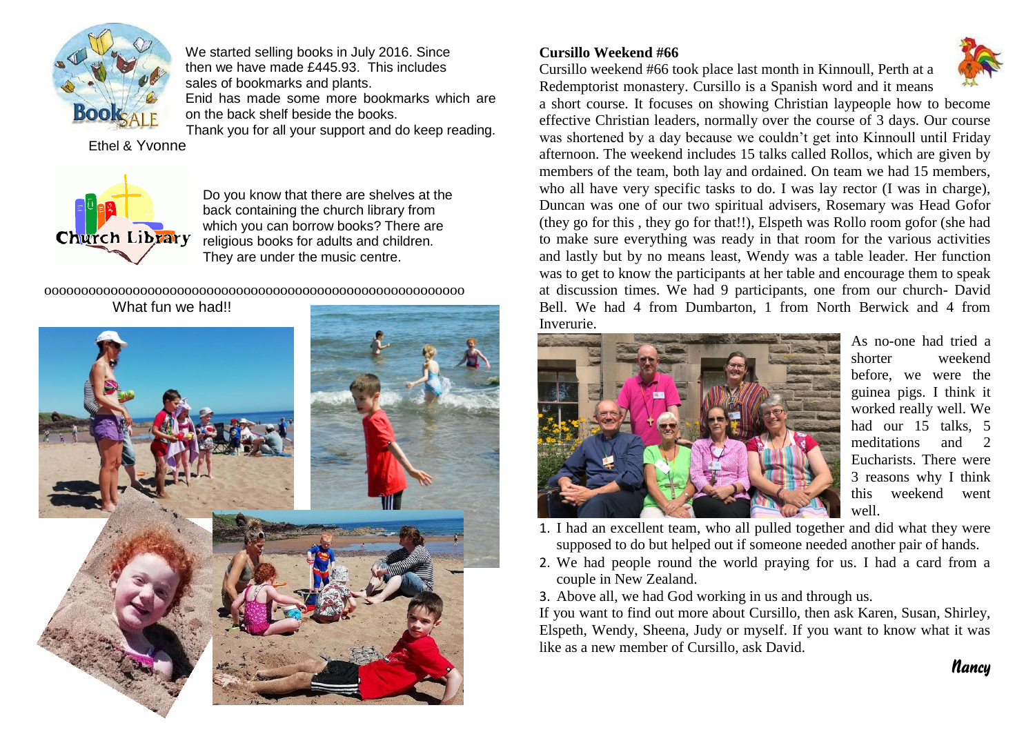

We started selling books in July 2016. Since then we have made £445.93. This includes sales of bookmarks and plants. Enid has made some more bookmarks which are on the back shelf beside the books.

Thank you for all your support and do keep reading.

Ethel & Yvonne



Do you know that there are shelves at the back containing the church library from which you can borrow books? There are religious books for adults and children. They are under the music centre.

ooooooooooooooooooooooooooooooooooooooooooooooooooooooooo What fun we had!!



#### **Cursillo Weekend #66**

Cursillo weekend #66 took place last month in Kinnoull, Perth at a Redemptorist monastery. Cursillo is a Spanish word and it means



a short course. It focuses on showing Christian laypeople how to become effective Christian leaders, normally over the course of 3 days. Our course was shortened by a day because we couldn't get into Kinnoull until Friday afternoon. The weekend includes 15 talks called Rollos, which are given by members of the team, both lay and ordained. On team we had 15 members, who all have very specific tasks to do. I was lay rector (I was in charge), Duncan was one of our two spiritual advisers, Rosemary was Head Gofor (they go for this , they go for that!!), Elspeth was Rollo room gofor (she had to make sure everything was ready in that room for the various activities and lastly but by no means least, Wendy was a table leader. Her function was to get to know the participants at her table and encourage them to speak at discussion times. We had 9 participants, one from our church- David Bell. We had 4 from Dumbarton, 1 from North Berwick and 4 from Inverurie.



As no-one had tried a shorter weekend before, we were the guinea pigs. I think it worked really well. We had our 15 talks, 5 meditations and 2 Eucharists. There were 3 reasons why I think this weekend went well.

*Nancy*

- 1. I had an excellent team, who all pulled together and did what they were supposed to do but helped out if someone needed another pair of hands.
- 2. We had people round the world praying for us. I had a card from a couple in New Zealand.
- 3. Above all, we had God working in us and through us.

If you want to find out more about Cursillo, then ask Karen, Susan, Shirley, Elspeth, Wendy, Sheena, Judy or myself. If you want to know what it was like as a new member of Cursillo, ask David.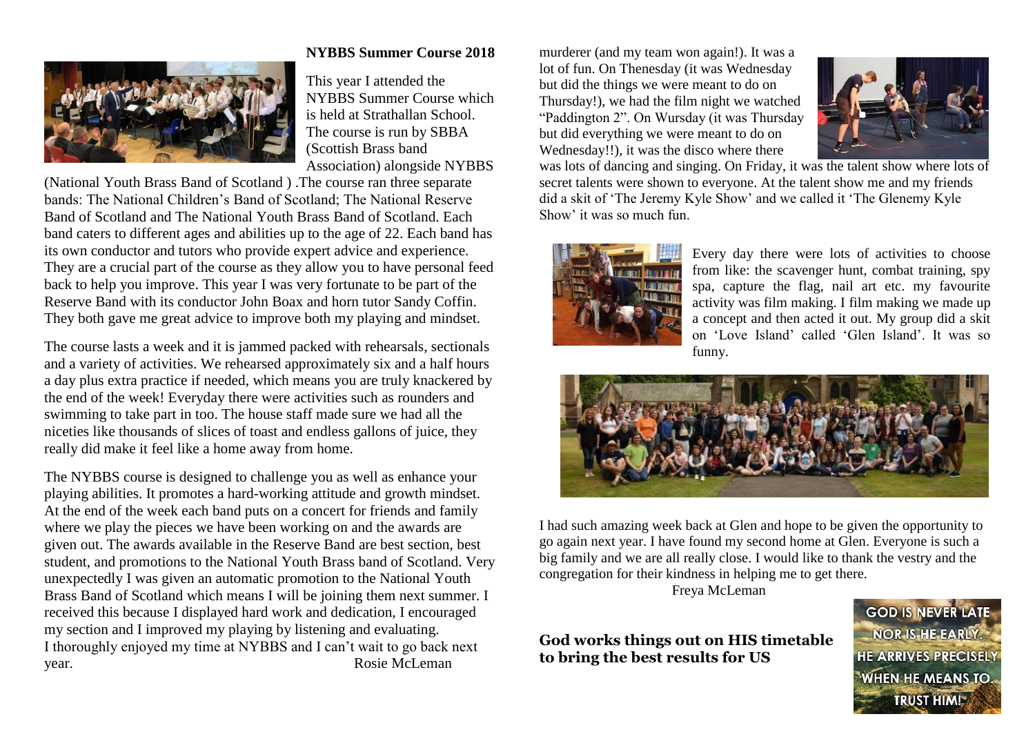

#### **NYBBS Summer Course 2018**

This year I attended the NYBBS Summer Course which is held at Strathallan School. The course is run by SBBA (Scottish Brass band Association) alongside NYBBS

(National Youth Brass Band of Scotland ) .The course ran three separate bands: The National Children's Band of Scotland; The National Reserve Band of Scotland and The National Youth Brass Band of Scotland. Each band caters to different ages and abilities up to the age of 22. Each band has its own conductor and tutors who provide expert advice and experience. They are a crucial part of the course as they allow you to have personal feed back to help you improve. This year I was very fortunate to be part of the Reserve Band with its conductor John Boax and horn tutor Sandy Coffin. They both gave me great advice to improve both my playing and mindset.

The course lasts a week and it is jammed packed with rehearsals, sectionals and a variety of activities. We rehearsed approximately six and a half hours a day plus extra practice if needed, which means you are truly knackered by the end of the week! Everyday there were activities such as rounders and swimming to take part in too. The house staff made sure we had all the niceties like thousands of slices of toast and endless gallons of juice, they really did make it feel like a home away from home.

The NYBBS course is designed to challenge you as well as enhance your playing abilities. It promotes a hard-working attitude and growth mindset. At the end of the week each band puts on a concert for friends and family where we play the pieces we have been working on and the awards are given out. The awards available in the Reserve Band are best section, best student, and promotions to the National Youth Brass band of Scotland. Very unexpectedly I was given an automatic promotion to the National Youth Brass Band of Scotland which means I will be joining them next summer. I received this because I displayed hard work and dedication, I encouraged my section and I improved my playing by listening and evaluating. I thoroughly enjoyed my time at NYBBS and I can't wait to go back next year. Rosie McLeman

murderer (and my team won again!). It was a lot of fun. On Thenesday (it was Wednesday but did the things we were meant to do on Thursday!), we had the film night we watched "Paddington 2". On Wursday (it was Thursday but did everything we were meant to do on Wednesday!!), it was the disco where there



was lots of dancing and singing. On Friday, it was the talent show where lots of secret talents were shown to everyone. At the talent show me and my friends did a skit of 'The Jeremy Kyle Show' and we called it 'The Glenemy Kyle Show' it was so much fun.



Every day there were lots of activities to choose from like: the scavenger hunt, combat training, spy spa, capture the flag, nail art etc. my favourite activity was film making. I film making we made up a concept and then acted it out. My group did a skit on 'Love Island' called 'Glen Island'. It was so funny.



I had such amazing week back at Glen and hope to be given the opportunity to go again next year. I have found my second home at Glen. Everyone is such a big family and we are all really close. I would like to thank the vestry and the congregation for their kindness in helping me to get there.

Freya McLeman

### **God works things out on HIS timetable to bring the best results for US**

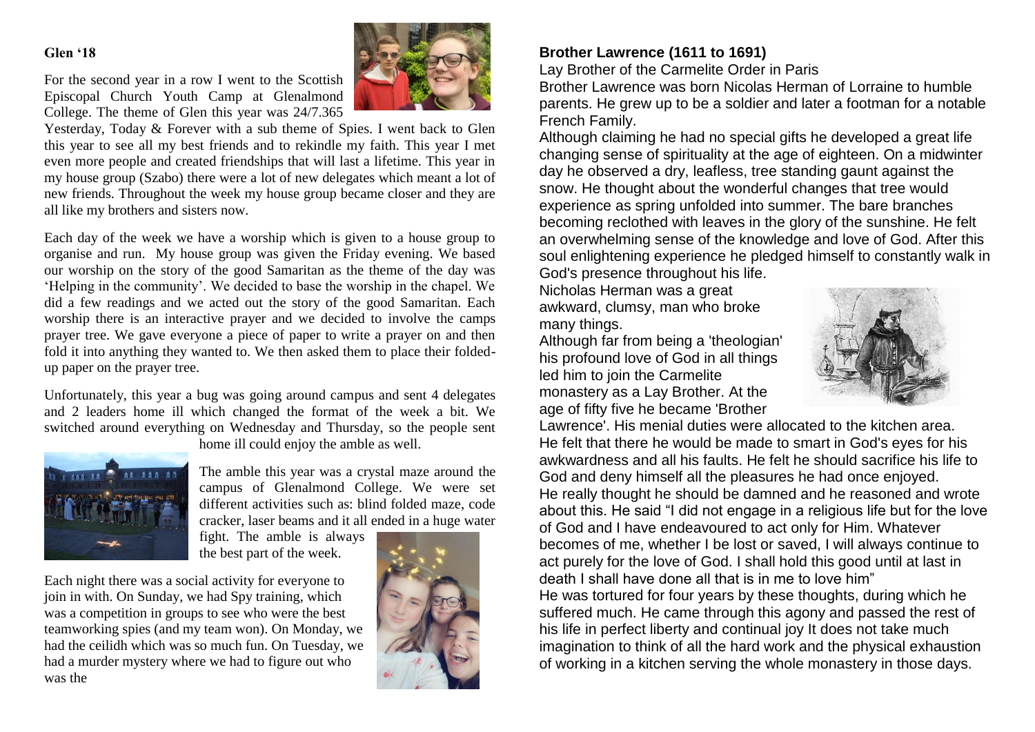#### **Glen '18**



For the second year in a row I went to the Scottish Episcopal Church Youth Camp at Glenalmond College. The theme of Glen this year was 24/7.365

Yesterday, Today & Forever with a sub theme of Spies. I went back to Glen this year to see all my best friends and to rekindle my faith. This year I met even more people and created friendships that will last a lifetime. This year in my house group (Szabo) there were a lot of new delegates which meant a lot of new friends. Throughout the week my house group became closer and they are all like my brothers and sisters now.

Each day of the week we have a worship which is given to a house group to organise and run. My house group was given the Friday evening. We based our worship on the story of the good Samaritan as the theme of the day was 'Helping in the community'. We decided to base the worship in the chapel. We did a few readings and we acted out the story of the good Samaritan. Each worship there is an interactive prayer and we decided to involve the camps prayer tree. We gave everyone a piece of paper to write a prayer on and then fold it into anything they wanted to. We then asked them to place their foldedup paper on the prayer tree.

Unfortunately, this year a bug was going around campus and sent 4 delegates and 2 leaders home ill which changed the format of the week a bit. We switched around everything on Wednesday and Thursday, so the people sent



home ill could enjoy the amble as well.

The amble this year was a crystal maze around the campus of Glenalmond College. We were set different activities such as: blind folded maze, code cracker, laser beams and it all ended in a huge water

fight. The amble is always the best part of the week.

Each night there was a social activity for everyone to join in with. On Sunday, we had Spy training, which was a competition in groups to see who were the best teamworking spies (and my team won). On Monday, we had the ceilidh which was so much fun. On Tuesday, we had a murder mystery where we had to figure out who was the



### **Brother Lawrence (1611 to 1691)**

Lay Brother of the Carmelite Order in Paris

Brother Lawrence was born Nicolas Herman of Lorraine to humble parents. He grew up to be a soldier and later a footman for a notable French Family.

Although claiming he had no special gifts he developed a great life changing sense of spirituality at the age of eighteen. On a midwinter day he observed a dry, leafless, tree standing gaunt against the snow. He thought about the wonderful changes that tree would experience as spring unfolded into summer. The bare branches becoming reclothed with leaves in the glory of the sunshine. He felt an overwhelming sense of the knowledge and love of God. After this soul enlightening experience he pledged himself to constantly walk in

God's presence throughout his life. Nicholas Herman was a great awkward, clumsy, man who broke many things.

Although far from being a 'theologian' his profound love of God in all things led him to join the Carmelite monastery as a Lay Brother. At the age of fifty five he became 'Brother



Lawrence'. His menial duties were allocated to the kitchen area. He felt that there he would be made to smart in God's eyes for his awkwardness and all his faults. He felt he should sacrifice his life to God and deny himself all the pleasures he had once enjoyed. He really thought he should be damned and he reasoned and wrote about this. He said "I did not engage in a religious life but for the love of God and I have endeavoured to act only for Him. Whatever becomes of me, whether I be lost or saved, I will always continue to act purely for the love of God. I shall hold this good until at last in death I shall have done all that is in me to love him" He was tortured for four years by these thoughts, during which he suffered much. He came through this agony and passed the rest of his life in perfect liberty and continual joy It does not take much imagination to think of all the hard work and the physical exhaustion of working in a kitchen serving the whole monastery in those days.